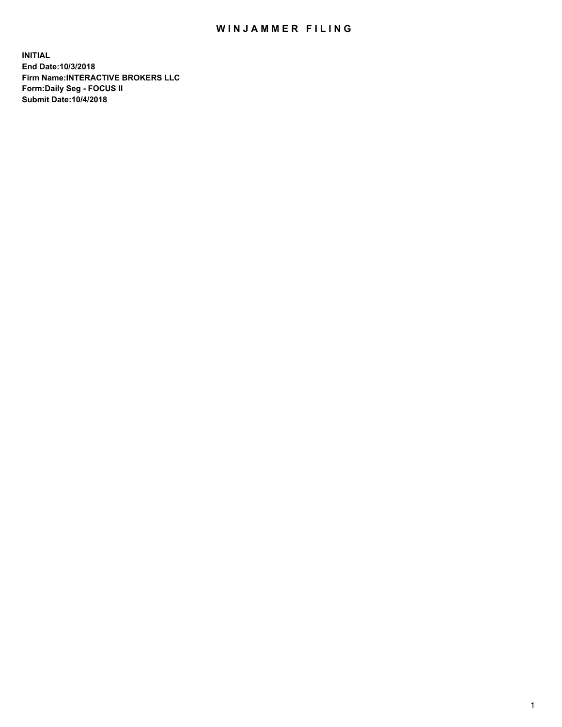## WIN JAMMER FILING

**INITIAL End Date:10/3/2018 Firm Name:INTERACTIVE BROKERS LLC Form:Daily Seg - FOCUS II Submit Date:10/4/2018**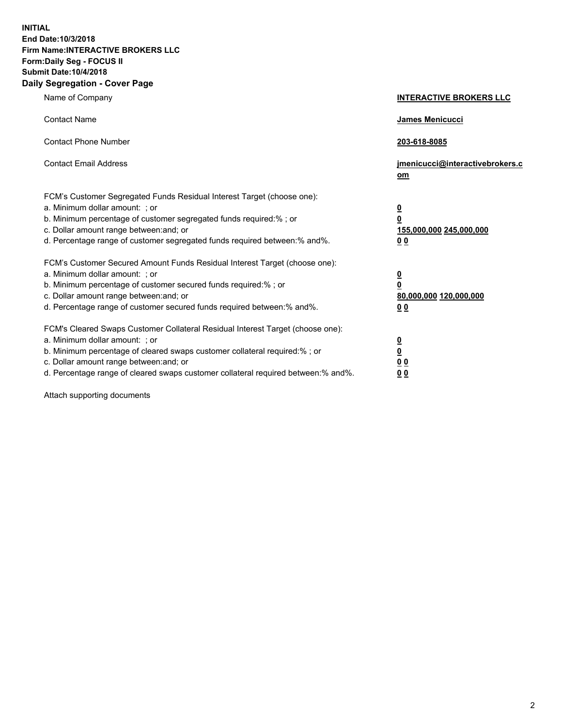**INITIAL End Date:10/3/2018 Firm Name:INTERACTIVE BROKERS LLC Form:Daily Seg - FOCUS II Submit Date:10/4/2018 Daily Segregation - Cover Page**

| Name of Company                                                                                                                                                                                                                                                                                                                | <b>INTERACTIVE BROKERS LLC</b>                                                                  |
|--------------------------------------------------------------------------------------------------------------------------------------------------------------------------------------------------------------------------------------------------------------------------------------------------------------------------------|-------------------------------------------------------------------------------------------------|
| <b>Contact Name</b>                                                                                                                                                                                                                                                                                                            | James Menicucci                                                                                 |
| <b>Contact Phone Number</b>                                                                                                                                                                                                                                                                                                    | 203-618-8085                                                                                    |
| <b>Contact Email Address</b>                                                                                                                                                                                                                                                                                                   | jmenicucci@interactivebrokers.c<br>om                                                           |
| FCM's Customer Segregated Funds Residual Interest Target (choose one):<br>a. Minimum dollar amount: ; or<br>b. Minimum percentage of customer segregated funds required:% ; or<br>c. Dollar amount range between: and; or<br>d. Percentage range of customer segregated funds required between:% and%.                         | $\overline{\mathbf{0}}$<br>$\overline{\mathbf{0}}$<br>155,000,000 245,000,000<br>0 <sub>0</sub> |
| FCM's Customer Secured Amount Funds Residual Interest Target (choose one):<br>a. Minimum dollar amount: ; or<br>b. Minimum percentage of customer secured funds required:% ; or<br>c. Dollar amount range between: and; or<br>d. Percentage range of customer secured funds required between:% and%.                           | $\overline{\mathbf{0}}$<br>0<br>80,000,000 120,000,000<br>0 <sub>0</sub>                        |
| FCM's Cleared Swaps Customer Collateral Residual Interest Target (choose one):<br>a. Minimum dollar amount: ; or<br>b. Minimum percentage of cleared swaps customer collateral required:% ; or<br>c. Dollar amount range between: and; or<br>d. Percentage range of cleared swaps customer collateral required between:% and%. | $\overline{\mathbf{0}}$<br><u>0</u><br>$\underline{0}$ $\underline{0}$<br>00                    |

Attach supporting documents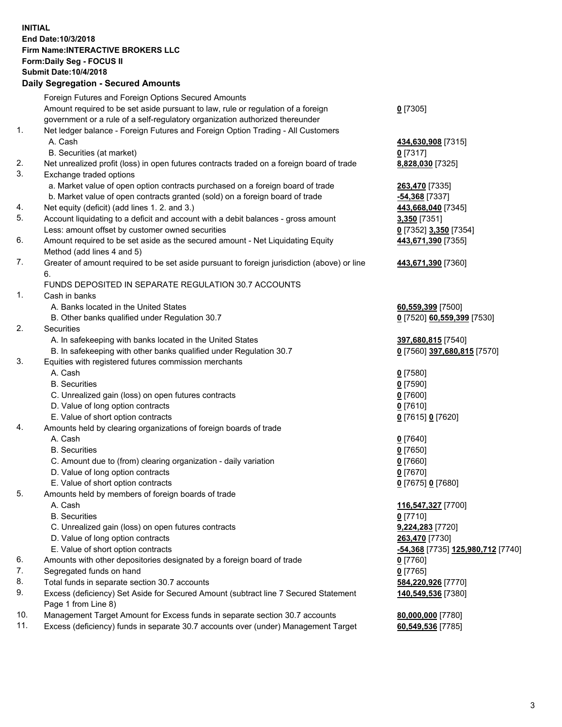## **INITIAL End Date:10/3/2018 Firm Name:INTERACTIVE BROKERS LLC Form:Daily Seg - FOCUS II Submit Date:10/4/2018 Daily Segregation - Secured Amounts**

|     | Dally Segregation - Secured Amounts                                                         |                                   |
|-----|---------------------------------------------------------------------------------------------|-----------------------------------|
|     | Foreign Futures and Foreign Options Secured Amounts                                         |                                   |
|     | Amount required to be set aside pursuant to law, rule or regulation of a foreign            | $0$ [7305]                        |
|     | government or a rule of a self-regulatory organization authorized thereunder                |                                   |
| 1.  | Net ledger balance - Foreign Futures and Foreign Option Trading - All Customers             |                                   |
|     | A. Cash                                                                                     | 434,630,908 [7315]                |
|     | B. Securities (at market)                                                                   | $0$ [7317]                        |
| 2.  | Net unrealized profit (loss) in open futures contracts traded on a foreign board of trade   | 8,828,030 [7325]                  |
| 3.  | Exchange traded options                                                                     |                                   |
|     | a. Market value of open option contracts purchased on a foreign board of trade              | 263,470 [7335]                    |
|     | b. Market value of open contracts granted (sold) on a foreign board of trade                | $-54,368$ [7337]                  |
| 4.  | Net equity (deficit) (add lines 1.2. and 3.)                                                | 443,668,040 [7345]                |
| 5.  | Account liquidating to a deficit and account with a debit balances - gross amount           | 3,350 [7351]                      |
|     | Less: amount offset by customer owned securities                                            | 0 [7352] 3,350 [7354]             |
| 6.  | Amount required to be set aside as the secured amount - Net Liquidating Equity              | 443,671,390 [7355]                |
|     | Method (add lines 4 and 5)                                                                  |                                   |
| 7.  | Greater of amount required to be set aside pursuant to foreign jurisdiction (above) or line | 443,671,390 [7360]                |
|     | 6.                                                                                          |                                   |
|     | FUNDS DEPOSITED IN SEPARATE REGULATION 30.7 ACCOUNTS                                        |                                   |
| 1.  | Cash in banks                                                                               |                                   |
|     | A. Banks located in the United States                                                       | 60,559,399 [7500]                 |
|     | B. Other banks qualified under Regulation 30.7                                              | 0 [7520] 60,559,399 [7530]        |
| 2.  | Securities                                                                                  |                                   |
|     | A. In safekeeping with banks located in the United States                                   | 397,680,815 [7540]                |
|     | B. In safekeeping with other banks qualified under Regulation 30.7                          | 0 [7560] 397,680,815 [7570]       |
| 3.  | Equities with registered futures commission merchants                                       |                                   |
|     | A. Cash                                                                                     | $0$ [7580]                        |
|     | <b>B.</b> Securities                                                                        | $0$ [7590]                        |
|     | C. Unrealized gain (loss) on open futures contracts                                         | $0$ [7600]                        |
|     | D. Value of long option contracts                                                           | $0$ [7610]                        |
|     | E. Value of short option contracts                                                          | 0 [7615] 0 [7620]                 |
| 4.  | Amounts held by clearing organizations of foreign boards of trade                           |                                   |
|     | A. Cash                                                                                     | $0$ [7640]                        |
|     | <b>B.</b> Securities                                                                        | $0$ [7650]                        |
|     | C. Amount due to (from) clearing organization - daily variation                             | $0$ [7660]                        |
|     | D. Value of long option contracts                                                           | $0$ [7670]                        |
|     | E. Value of short option contracts                                                          | 0 [7675] 0 [7680]                 |
| 5.  | Amounts held by members of foreign boards of trade                                          |                                   |
|     | A. Cash                                                                                     | 116,547,327 [7700]                |
|     | <b>B.</b> Securities                                                                        | $0$ [7710]                        |
|     | C. Unrealized gain (loss) on open futures contracts                                         | 9,224,283 [7720]                  |
|     | D. Value of long option contracts                                                           | 263,470 [7730]                    |
|     | E. Value of short option contracts                                                          | -54,368 [7735] 125,980,712 [7740] |
| 6.  | Amounts with other depositories designated by a foreign board of trade                      | 0 [7760]                          |
| 7.  | Segregated funds on hand                                                                    | $0$ [7765]                        |
| 8.  | Total funds in separate section 30.7 accounts                                               | 584,220,926 [7770]                |
| 9.  | Excess (deficiency) Set Aside for Secured Amount (subtract line 7 Secured Statement         | 140,549,536 [7380]                |
|     | Page 1 from Line 8)                                                                         |                                   |
| 10. | Management Target Amount for Excess funds in separate section 30.7 accounts                 | 80,000,000 [7780]                 |
| 11. | Excess (deficiency) funds in separate 30.7 accounts over (under) Management Target          | 60,549,536 [7785]                 |
|     |                                                                                             |                                   |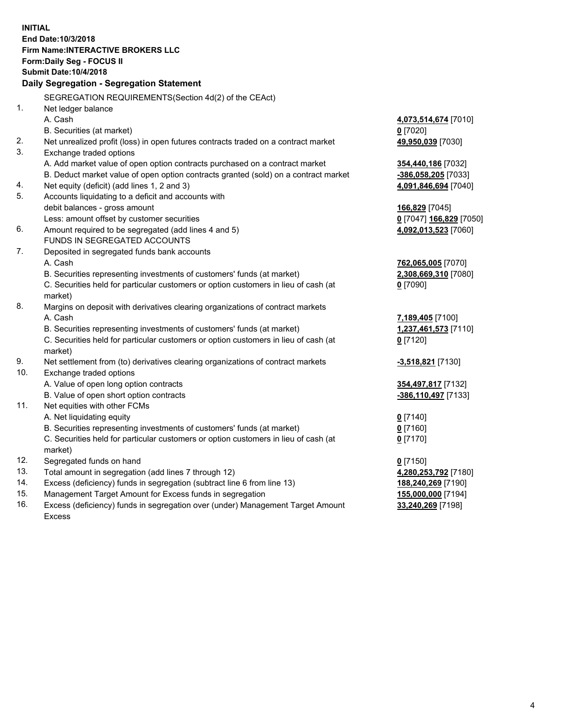**INITIAL End Date:10/3/2018 Firm Name:INTERACTIVE BROKERS LLC Form:Daily Seg - FOCUS II Submit Date:10/4/2018 Daily Segregation - Segregation Statement** SEGREGATION REQUIREMENTS(Section 4d(2) of the CEAct) 1. Net ledger balance A. Cash **4,073,514,674** [7010] B. Securities (at market) **0** [7020] 2. Net unrealized profit (loss) in open futures contracts traded on a contract market **49,950,039** [7030] 3. Exchange traded options A. Add market value of open option contracts purchased on a contract market **354,440,186** [7032] B. Deduct market value of open option contracts granted (sold) on a contract market **-386,058,205** [7033] 4. Net equity (deficit) (add lines 1, 2 and 3) **4,091,846,694** [7040] 5. Accounts liquidating to a deficit and accounts with debit balances - gross amount **166,829** [7045] Less: amount offset by customer securities **0** [7047] **166,829** [7050] 6. Amount required to be segregated (add lines 4 and 5) **4,092,013,523** [7060] FUNDS IN SEGREGATED ACCOUNTS 7. Deposited in segregated funds bank accounts A. Cash **762,065,005** [7070] B. Securities representing investments of customers' funds (at market) **2,308,669,310** [7080] C. Securities held for particular customers or option customers in lieu of cash (at market) **0** [7090] 8. Margins on deposit with derivatives clearing organizations of contract markets A. Cash **7,189,405** [7100] B. Securities representing investments of customers' funds (at market) **1,237,461,573** [7110] C. Securities held for particular customers or option customers in lieu of cash (at market) **0** [7120] 9. Net settlement from (to) derivatives clearing organizations of contract markets **-3,518,821** [7130] 10. Exchange traded options A. Value of open long option contracts **354,497,817** [7132] B. Value of open short option contracts **-386,110,497** [7133] 11. Net equities with other FCMs A. Net liquidating equity **0** [7140] B. Securities representing investments of customers' funds (at market) **0** [7160] C. Securities held for particular customers or option customers in lieu of cash (at market) **0** [7170] 12. Segregated funds on hand **0** [7150] 13. Total amount in segregation (add lines 7 through 12) **4,280,253,792** [7180] 14. Excess (deficiency) funds in segregation (subtract line 6 from line 13) **188,240,269** [7190] 15. Management Target Amount for Excess funds in segregation **155,000,000** [7194]

16. Excess (deficiency) funds in segregation over (under) Management Target Amount Excess

**33,240,269** [7198]